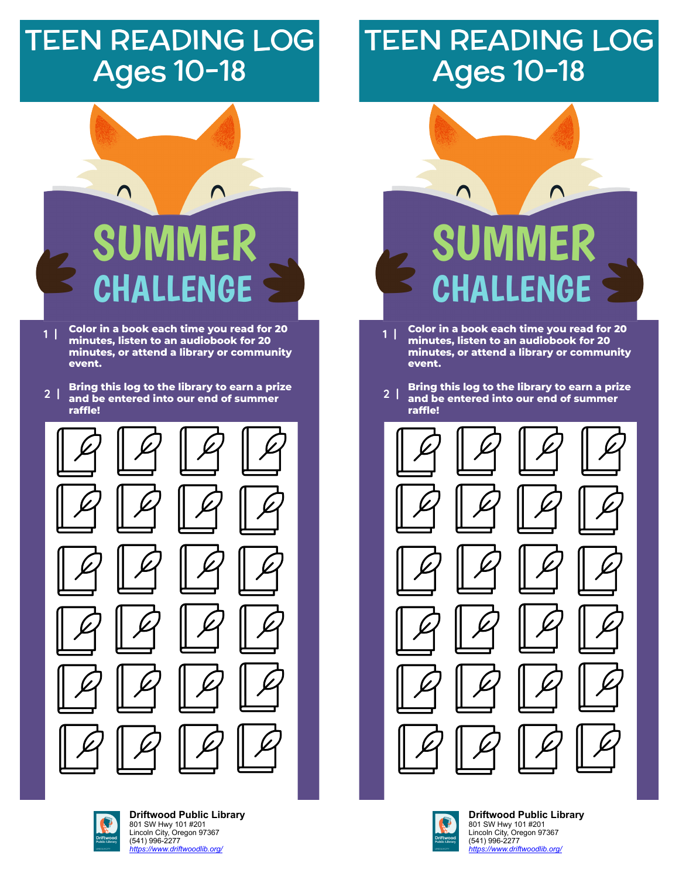## TEEN READING LOG Ages 10-18

## TEEN READING LOG Ages 10-18

## Λ SUMMER CHALLENGE

**Color in a book each time you read for 20 minutes, listen to an audiobook for 20 minutes, or attend a library or community event. 1 |**

**Bring this log to the library to earn a prize and be entered into our end of summer raffle! 2 |**



**[D](https://libraryaware.com/2JBZJ7)riftwood Public Library** 801 SW Hwy 101 #201 [L](https://libraryaware.com/2JBZJ7)incoln City, Oregon 97367 (541) 996-2277 *[https://www.driftwoodlib.org/](https://libraryaware.com/2JBZJ7)*

# $\bigcap$ SUMMER LLENGE

- **Color in a book each time you read for 20 minutes, listen to an audiobook for 20 minutes, or attend a library or community event. 1 |**
- **Bring this log to the library to earn a prize and be entered into our end of summer raffle! 2 |**





**[D](https://libraryaware.com/2JBZJ7)riftwood Public Library** 801 SW Hwy 101 #201 [L](https://libraryaware.com/2JBZJ7)incoln City, Oregon 97367 (541) 996-2277 *[https://www.driftwoodlib.org/](https://libraryaware.com/2JBZJ7)*